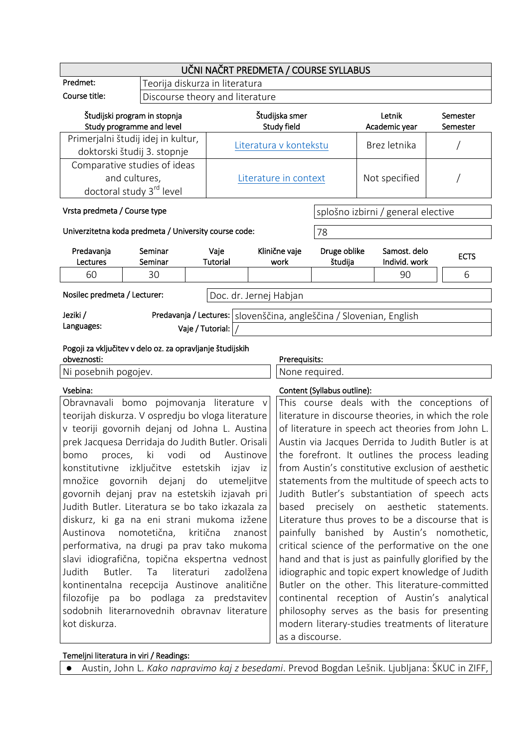| UČNI NAČRT PREDMETA / COURSE SYLLABUS                     |                                                           |                                                   |                               |                                                 |                                                     |                         |                                                                       |                      |  |
|-----------------------------------------------------------|-----------------------------------------------------------|---------------------------------------------------|-------------------------------|-------------------------------------------------|-----------------------------------------------------|-------------------------|-----------------------------------------------------------------------|----------------------|--|
| Predmet:                                                  |                                                           | Teorija diskurza in literatura                    |                               |                                                 |                                                     |                         |                                                                       |                      |  |
| Course title:                                             |                                                           | Discourse theory and literature                   |                               |                                                 |                                                     |                         |                                                                       |                      |  |
| Študijski program in stopnja<br>Study programme and level |                                                           |                                                   | Študijska smer<br>Study field |                                                 |                                                     |                         | Letnik<br>Academic year                                               | Semester<br>Semester |  |
| Primerjalni študij idej in kultur,                        |                                                           |                                                   |                               |                                                 |                                                     |                         |                                                                       |                      |  |
| doktorski študij 3. stopnje                               |                                                           |                                                   | Literatura v kontekstu        |                                                 |                                                     |                         | Brez letnika                                                          |                      |  |
| Comparative studies of ideas                              |                                                           |                                                   |                               |                                                 |                                                     |                         |                                                                       |                      |  |
| and cultures,                                             |                                                           |                                                   | Literature in context         |                                                 |                                                     |                         | Not specified                                                         |                      |  |
| doctoral study 3 <sup>rd</sup> level                      |                                                           |                                                   |                               |                                                 |                                                     |                         |                                                                       |                      |  |
| Vrsta predmeta / Course type                              |                                                           |                                                   |                               |                                                 | splošno izbirni / general elective                  |                         |                                                                       |                      |  |
| Univerzitetna koda predmeta / University course code:     |                                                           |                                                   | 78                            |                                                 |                                                     |                         |                                                                       |                      |  |
| Predavanja<br>Lectures                                    | Seminar<br>Seminar                                        |                                                   | Vaje<br><b>Tutorial</b>       |                                                 | Klinične vaje<br>work                               | Druge oblike<br>študija | Samost. delo<br>Individ. work                                         | <b>ECTS</b>          |  |
| 60                                                        | 30                                                        |                                                   |                               |                                                 |                                                     |                         | 90                                                                    | 6                    |  |
|                                                           |                                                           |                                                   |                               |                                                 |                                                     |                         |                                                                       |                      |  |
| Nosilec predmeta / Lecturer:                              |                                                           |                                                   | Doc. dr. Jernej Habjan        |                                                 |                                                     |                         |                                                                       |                      |  |
| Jeziki /                                                  |                                                           |                                                   |                               |                                                 |                                                     |                         | Predavanja / Lectures:   slovenščina, angleščina / Slovenian, English |                      |  |
| Languages:                                                |                                                           |                                                   | Vaje / Tutorial:              |                                                 |                                                     |                         |                                                                       |                      |  |
|                                                           |                                                           |                                                   |                               |                                                 |                                                     |                         |                                                                       |                      |  |
| obveznosti:                                               | Pogoji za vključitev v delo oz. za opravljanje študijskih |                                                   |                               |                                                 | Prerequisits:                                       |                         |                                                                       |                      |  |
| Ni posebnih pogojev.                                      |                                                           |                                                   |                               |                                                 | None required.                                      |                         |                                                                       |                      |  |
| Vsebina:                                                  |                                                           |                                                   |                               |                                                 | Content (Syllabus outline):                         |                         |                                                                       |                      |  |
|                                                           | Obravnavali bomo pojmovanja literature v                  |                                                   |                               |                                                 | This course deals with the conceptions of           |                         |                                                                       |                      |  |
| teorijah diskurza. V ospredju bo vloga literature         |                                                           |                                                   |                               |                                                 | literature in discourse theories, in which the role |                         |                                                                       |                      |  |
| v teoriji govornih dejanj od Johna L. Austina             |                                                           |                                                   |                               |                                                 | of literature in speech act theories from John L.   |                         |                                                                       |                      |  |
| prek Jacquesa Derridaja do Judith Butler. Orisali         |                                                           | Austin via Jacques Derrida to Judith Butler is at |                               |                                                 |                                                     |                         |                                                                       |                      |  |
| bomo                                                      | proces, ki vodi od                                        |                                                   | Austinove                     | the forefront. It outlines the process leading  |                                                     |                         |                                                                       |                      |  |
| konstitutivne izključitve estetskih izjav iz              |                                                           | from Austin's constitutive exclusion of aesthetic |                               |                                                 |                                                     |                         |                                                                       |                      |  |
|                                                           | množice govornih dejanj do utemeljitve                    |                                                   |                               | statements from the multitude of speech acts to |                                                     |                         |                                                                       |                      |  |
| govornih dejanj prav na estetskih izjavah pri             |                                                           | Judith Butler's substantiation of speech acts     |                               |                                                 |                                                     |                         |                                                                       |                      |  |
| Judith Butler. Literatura se bo tako izkazala za          |                                                           |                                                   |                               |                                                 | precisely on aesthetic statements.<br>based         |                         |                                                                       |                      |  |
| diskurz, ki ga na eni strani mukoma izžene                |                                                           |                                                   |                               |                                                 | Literature thus proves to be a discourse that is    |                         |                                                                       |                      |  |
| nomotetična, kritična<br>Austinova<br>znanost             |                                                           |                                                   |                               |                                                 | painfully banished by Austin's nomothetic,          |                         |                                                                       |                      |  |
| performativa, na drugi pa prav tako mukoma                |                                                           |                                                   |                               |                                                 | critical science of the performative on the one     |                         |                                                                       |                      |  |
| slavi idiografična, topična ekspertna vednost             |                                                           |                                                   |                               |                                                 | hand and that is just as painfully glorified by the |                         |                                                                       |                      |  |
| Butler.<br>Ta<br>literaturi<br>zadolžena<br>Judith        |                                                           |                                                   |                               |                                                 | idiographic and topic expert knowledge of Judith    |                         |                                                                       |                      |  |
| kontinentalna recepcija Austinove analitične              |                                                           |                                                   |                               |                                                 | Butler on the other. This literature-committed      |                         |                                                                       |                      |  |
| bo podlaga za predstavitev<br>filozofije<br>pa            |                                                           |                                                   |                               |                                                 | continental reception of Austin's analytical        |                         |                                                                       |                      |  |
| sodobnih literarnovednih obravnav literature              |                                                           |                                                   |                               |                                                 | philosophy serves as the basis for presenting       |                         |                                                                       |                      |  |
| kot diskurza.                                             |                                                           |                                                   |                               |                                                 | modern literary-studies treatments of literature    |                         |                                                                       |                      |  |
|                                                           |                                                           |                                                   |                               |                                                 |                                                     | as a discourse.         |                                                                       |                      |  |

## Temeljni literatura in viri / Readings:

● Austin, John L. *Kako napravimo kaj z besedami*. Prevod Bogdan Lešnik. Ljubljana: ŠKUC in ZIFF,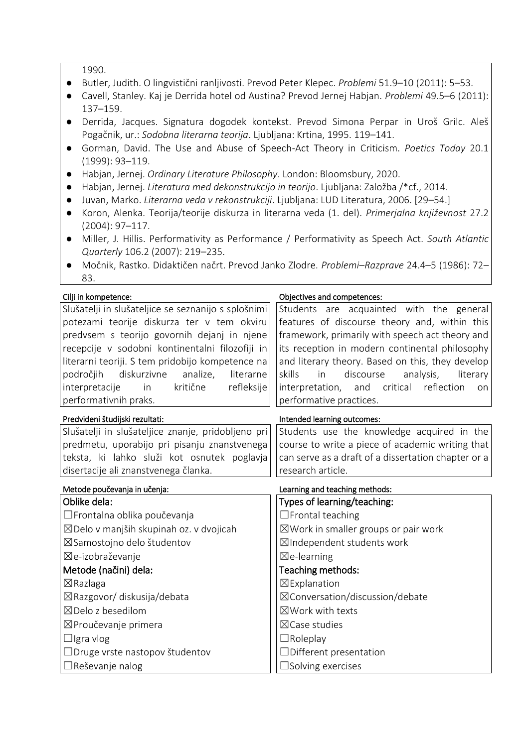1990.

- Butler, Judith. O lingvistični ranljivosti. Prevod Peter Klepec. *Problemi* 51.9–10 (2011): 5–53.
- Cavell, Stanley. Kaj je Derrida hotel od Austina? Prevod Jernej Habjan. *Problemi* 49.5–6 (2011): 137–159.
- Derrida, Jacques. Signatura dogodek kontekst. Prevod Simona Perpar in Uroš Grilc. Aleš Pogačnik, ur.: *Sodobna literarna teorija*. Ljubljana: Krtina, 1995. 119–141.
- Gorman, David. The Use and Abuse of Speech-Act Theory in Criticism. *Poetics Today* 20.1 (1999): 93–119.
- Habjan, Jernej. *Ordinary Literature Philosophy*. London: Bloomsbury, 2020.
- Habjan, Jernej. *Literatura med dekonstrukcijo in teorijo*. Ljubljana: Založba /\*cf., 2014.
- Juvan, Marko. *Literarna veda v rekonstrukciji*. Ljubljana: LUD Literatura, 2006. [29–54.]
- Koron, Alenka. Teorija/teorije diskurza in literarna veda (1. del). *Primerjalna književnost* 27.2 (2004): 97–117.
- Miller, J. Hillis. Performativity as Performance / Performativity as Speech Act. *South Atlantic Quarterly* 106.2 (2007): 219–235.
- Močnik, Rastko. Didaktičen načrt. Prevod Janko Zlodre. *Problemi–Razprave* 24.4–5 (1986): 72– 83.

| Cilji in kompetence:                                | Objectives and competences:                         |  |  |  |
|-----------------------------------------------------|-----------------------------------------------------|--|--|--|
| Slušatelji in slušateljice se seznanijo s splošnimi | Students are acquainted with the general            |  |  |  |
| potezami teorije diskurza ter v tem okviru          | features of discourse theory and, within this       |  |  |  |
| predvsem s teorijo govornih dejanj in njene         | framework, primarily with speech act theory and     |  |  |  |
| recepcije v sodobni kontinentalni filozofiji in     | its reception in modern continental philosophy      |  |  |  |
| literarni teoriji. S tem pridobijo kompetence na    | and literary theory. Based on this, they develop    |  |  |  |
| diskurzivne<br>področjih<br>analize,<br>literarne   | skills<br>discourse<br>analysis,<br>in<br>literary  |  |  |  |
| kritične<br>refleksije<br>interpretacije<br>in      | interpretation, and critical reflection<br>on       |  |  |  |
| performativnih praks.                               | performative practices.                             |  |  |  |
| Predvideni študijski rezultati:                     | Intended learning outcomes:                         |  |  |  |
| Slušatelji in slušateljice znanje, pridobljeno pri  | Students use the knowledge acquired in the          |  |  |  |
| predmetu, uporabijo pri pisanju znanstvenega        | course to write a piece of academic writing that    |  |  |  |
| teksta, ki lahko služi kot osnutek poglavja         | can serve as a draft of a dissertation chapter or a |  |  |  |
| disertacije ali znanstvenega članka.                | research article.                                   |  |  |  |
|                                                     | Learning and teaching methods:                      |  |  |  |
| Metode poučevanja in učenja:                        |                                                     |  |  |  |
| Oblike dela:                                        | Types of learning/teaching:                         |  |  |  |
| □ Frontalna oblika poučevanja                       | $\Box$ Frontal teaching                             |  |  |  |
| ⊠Delo v manjših skupinah oz. v dvojicah             | $\boxtimes$ Work in smaller groups or pair work     |  |  |  |
| ⊠Samostojno delo študentov                          | ⊠Independent students work                          |  |  |  |
| ⊠e-izobraževanje                                    | $\boxtimes$ e-learning                              |  |  |  |
| Metode (načini) dela:                               | Teaching methods:                                   |  |  |  |
| $\boxtimes$ Razlaga                                 | ⊠Explanation                                        |  |  |  |
| ⊠Razgovor/ diskusija/debata                         | $\boxtimes$ Conversation/discussion/debate          |  |  |  |
| $\boxtimes$ Delo z besedilom                        | $\boxtimes$ Work with texts                         |  |  |  |
| ⊠Proučevanje primera                                | $\boxtimes$ Case studies                            |  |  |  |
| $\Box$ Igra vlog                                    | $\Box$ Roleplay                                     |  |  |  |
| □Druge vrste nastopov študentov                     | $\Box$ Different presentation                       |  |  |  |